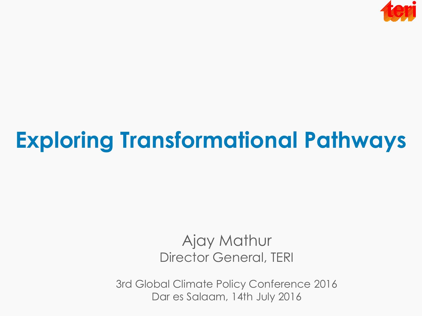

# **Exploring Transformational Pathways**

#### Ajay Mathur Director General, TERI

3rd Global Climate Policy Conference 2016 Dar es Salaam, 14th July 2016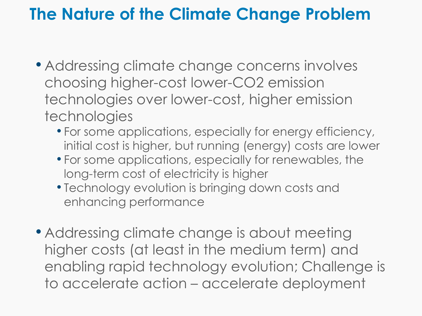## **The Nature of the Climate Change Problem**

- Addressing climate change concerns involves choosing higher-cost lower-CO2 emission technologies over lower-cost, higher emission technologies
	- For some applications, especially for energy efficiency, initial cost is higher, but running (energy) costs are lower
	- For some applications, especially for renewables, the long-term cost of electricity is higher
	- Technology evolution is bringing down costs and enhancing performance
- Addressing climate change is about meeting higher costs (at least in the medium term) and enabling rapid technology evolution; Challenge is to accelerate action – accelerate deployment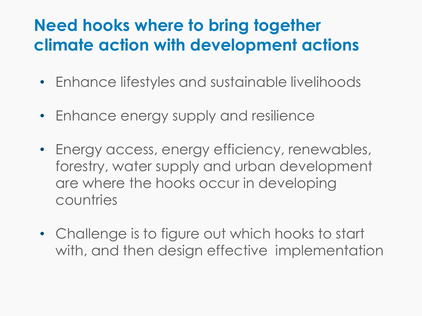## **Need hooks where to bring together climate action with development actions**

- Enhance lifestyles and sustainable livelihoods
- Enhance energy supply and resilience
- Energy access, energy efficiency, renewables, forestry, water supply and urban development are where the hooks occur in developing countries
- Challenge is to figure out which hooks to start with, and then design effective implementation